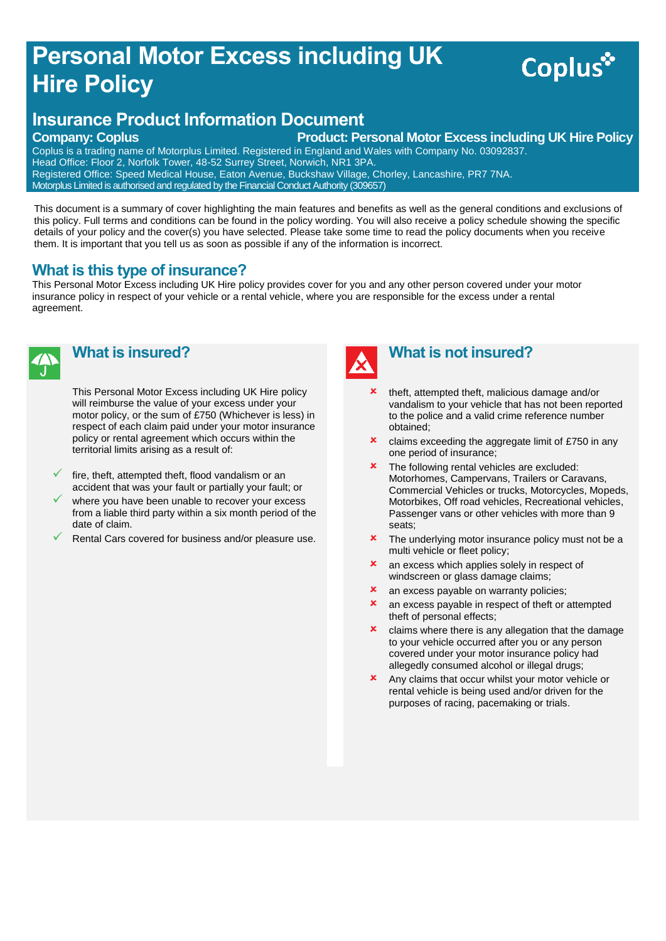## **Personal Motor Excess including UK Hire Policy**

# Coplus<sup>\*</sup>

### **Insurance Product Information Document**

**Company: Coplus Product: Personal Motor Excess including UK Hire Policy** 

Coplus is a trading name of Motorplus Limited. Registered in England and Wales with Company No. 03092837. Head Office: Floor 2, Norfolk Tower, 48-52 Surrey Street, Norwich, NR1 3PA. Registered Office: Speed Medical House, Eaton Avenue, Buckshaw Village, Chorley, Lancashire, PR7 7NA. Motorplus Limited is authorised and regulated by the Financial Conduct Authority (309657)

This document is a summary of cover highlighting the main features and benefits as well as the general conditions and exclusions of this policy. Full terms and conditions can be found in the policy wording. You will also receive a policy schedule showing the specific details of your policy and the cover(s) you have selected. Please take some time to read the policy documents when you receive them. It is important that you tell us as soon as possible if any of the information is incorrect.

#### **What is this type of insurance?**

This Personal Motor Excess including UK Hire policy provides cover for you and any other person covered under your motor insurance policy in respect of your vehicle or a rental vehicle, where you are responsible for the excess under a rental agreement.



#### **What is insured?**

This Personal Motor Excess including UK Hire policy will reimburse the value of your excess under your motor policy, or the sum of £750 (Whichever is less) in respect of each claim paid under your motor insurance policy or rental agreement which occurs within the territorial limits arising as a result of:

- fire, theft, attempted theft, flood vandalism or an accident that was your fault or partially your fault; or
- where you have been unable to recover your excess from a liable third party within a six month period of the date of claim.
- Rental Cars covered for business and/or pleasure use.



#### **What is not insured?**

- theft, attempted theft, malicious damage and/or vandalism to your vehicle that has not been reported to the police and a valid crime reference number obtained;
- **x** claims exceeding the aggregate limit of £750 in any one period of insurance;
- **\*** The following rental vehicles are excluded: Motorhomes, Campervans, Trailers or Caravans, Commercial Vehicles or trucks, Motorcycles, Mopeds, Motorbikes, Off road vehicles, Recreational vehicles, Passenger vans or other vehicles with more than 9 seats;
- **\*** The underlying motor insurance policy must not be a multi vehicle or fleet policy;
- **x** an excess which applies solely in respect of windscreen or glass damage claims;
- **x** an excess payable on warranty policies;
- **x** an excess payable in respect of theft or attempted theft of personal effects;
- $\boldsymbol{\times}$  claims where there is any allegation that the damage to your vehicle occurred after you or any person covered under your motor insurance policy had allegedly consumed alcohol or illegal drugs;
- Any claims that occur whilst your motor vehicle or rental vehicle is being used and/or driven for the purposes of racing, pacemaking or trials.